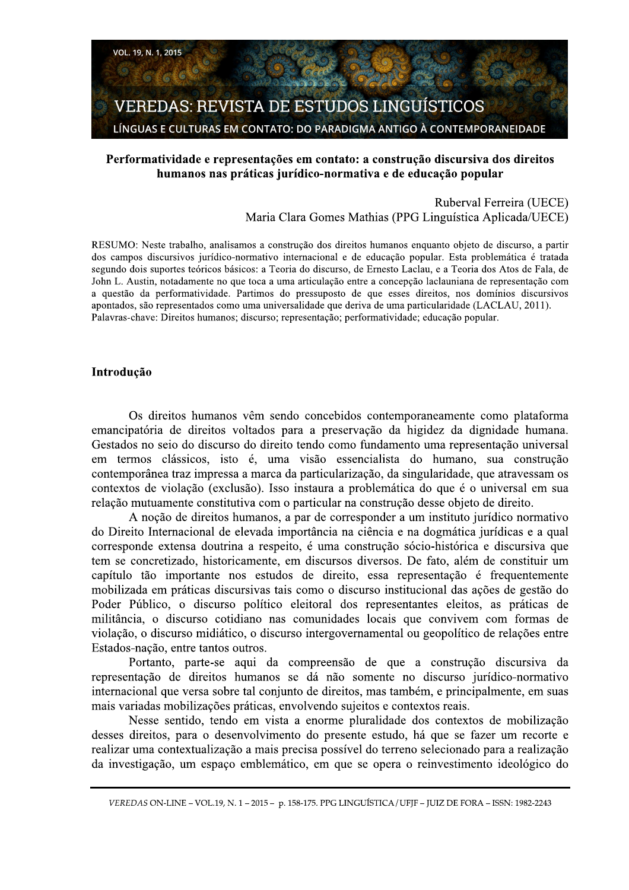

# Performatividade e representações em contato: a construção discursiva dos direitos humanos nas práticas jurídico-normativa e de educação popular

Ruberval Ferreira (UECE) Maria Clara Gomes Mathias (PPG Linguística Aplicada/UECE)

RESUMO: Neste trabalho, analisamos a construção dos direitos humanos enquanto objeto de discurso, a partir dos campos discursivos jurídico-normativo internacional e de educação popular. Esta problemática é tratada segundo dois suportes teóricos básicos: a Teoria do discurso, de Ernesto Laclau, e a Teoria dos Atos de Fala, de John L. Austin, notadamente no que toca a uma articulação entre a concepção laclauniana de representação com a questão da performatividade. Partimos do pressuposto de que esses direitos, nos domínios discursivos apontados, são representados como uma universalidade que deriva de uma particularidade (LACLAU, 2011). Palavras-chave: Direitos humanos; discurso; representação; performatividade; educação popular.

#### Introdução

Os direitos humanos vêm sendo concebidos contemporaneamente como plataforma emancipatória de direitos voltados para a preservação da higidez da dignidade humana. Gestados no seio do discurso do direito tendo como fundamento uma representação universal em termos clássicos, isto é, uma visão essencialista do humano, sua construção contemporânea traz impressa a marca da particularização, da singularidade, que atravessam os contextos de violação (exclusão). Isso instaura a problemática do que é o universal em sua relação mutuamente constitutiva com o particular na construção desse objeto de direito.

A noção de direitos humanos, a par de corresponder a um instituto jurídico normativo do Direito Internacional de elevada importância na ciência e na dogmática jurídicas e a qual corresponde extensa doutrina a respeito, é uma construção sócio-histórica e discursiva que tem se concretizado, historicamente, em discursos diversos. De fato, além de constituir um capítulo tão importante nos estudos de direito, essa representação é frequentemente mobilizada em práticas discursivas tais como o discurso institucional das ações de gestão do Poder Público, o discurso político eleitoral dos representantes eleitos, as práticas de militância, o discurso cotidiano nas comunidades locais que convivem com formas de violação, o discurso midiático, o discurso intergovernamental ou geopolítico de relações entre Estados-nação, entre tantos outros.

Portanto, parte-se aqui da compreensão de que a construção discursiva da representação de direitos humanos se dá não somente no discurso jurídico-normativo internacional que versa sobre tal conjunto de direitos, mas também, e principalmente, em suas mais variadas mobilizações práticas, envolvendo sujeitos e contextos reais.

Nesse sentido, tendo em vista a enorme pluralidade dos contextos de mobilização desses direitos, para o desenvolvimento do presente estudo, há que se fazer um recorte e realizar uma contextualização a mais precisa possível do terreno selecionado para a realização da investigação, um espaço emblemático, em que se opera o reinvestimento ideológico do

VEREDAS ON-LINE - VOL.19, N. 1 - 2015 - p. 158-175. PPG LINGUÍSTICA / UFJF - JUIZ DE FORA - ISSN: 1982-2243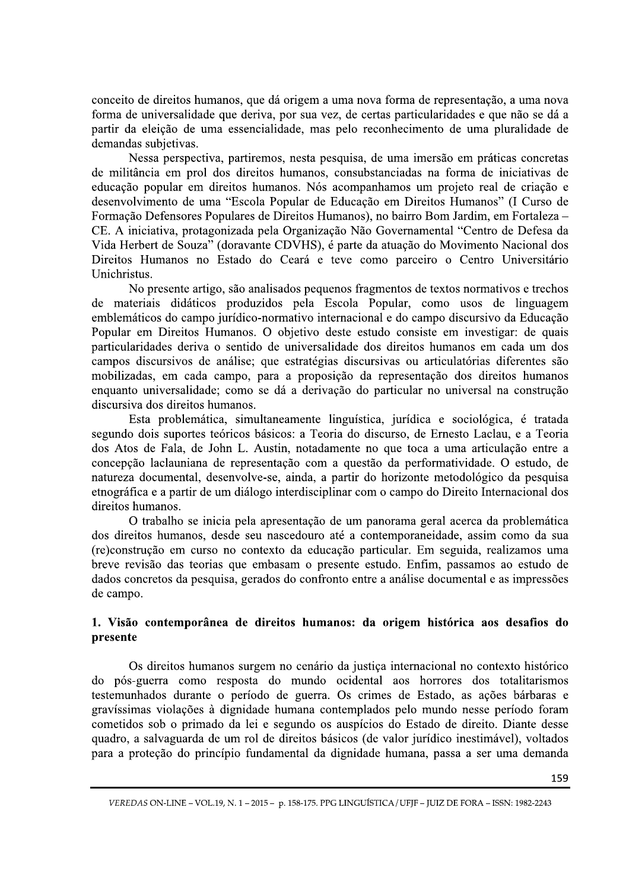conceito de direitos humanos, que dá origem a uma nova forma de representação, a uma nova forma de universalidade que deriva, por sua vez, de certas particularidades e que não se dá a partir da eleição de uma essencialidade, mas pelo reconhecimento de uma pluralidade de demandas subjetivas.

Nessa perspectiva, partiremos, nesta pesquisa, de uma imersão em práticas concretas de militância em prol dos direitos humanos, consubstanciadas na forma de iniciativas de educação popular em direitos humanos. Nós acompanhamos um projeto real de criação e desenvolvimento de uma "Escola Popular de Educação em Direitos Humanos" (I Curso de Formação Defensores Populares de Direitos Humanos), no bairro Bom Jardim, em Fortaleza – CE. A iniciativa, protagonizada pela Organização Não Governamental "Centro de Defesa da Vida Herbert de Souza" (doravante CDVHS), é parte da atuação do Movimento Nacional dos Direitos Humanos no Estado do Ceará e teve como parceiro o Centro Universitário Unichristus.

No presente artigo, são analisados pequenos fragmentos de textos normativos e trechos de materiais didáticos produzidos pela Escola Popular, como usos de linguagem emblemáticos do campo jurídico-normativo internacional e do campo discursivo da Educação Popular em Direitos Humanos. O objetivo deste estudo consiste em investigar: de quais particularidades deriva o sentido de universalidade dos direitos humanos em cada um dos campos discursivos de análise; que estratégias discursivas ou articulatórias diferentes são mobilizadas, em cada campo, para a proposição da representação dos direitos humanos enquanto universalidade; como se dá a derivação do particular no universal na construção discursiva dos direitos humanos.

Esta problemática, simultaneamente linguística, jurídica e sociológica, é tratada segundo dois suportes teóricos básicos: a Teoria do discurso, de Ernesto Laclau, e a Teoria dos Atos de Fala, de John L. Austin, notadamente no que toca a uma articulação entre a concepção laclauniana de representação com a questão da performatividade. O estudo, de natureza documental, desenvolve-se, ainda, a partir do horizonte metodológico da pesquisa etnográfica e a partir de um diálogo interdisciplinar com o campo do Direito Internacional dos direitos humanos.

O trabalho se inicia pela apresentação de um panorama geral acerca da problemática dos direitos humanos, desde seu nascedouro até a contemporaneidade, assim como da sua (re)construção em curso no contexto da educação particular. Em seguida, realizamos uma breve revisão das teorias que embasam o presente estudo. Enfim, passamos ao estudo de dados concretos da pesquisa, gerados do confronto entre a análise documental e as impressões de campo.

## 1. Visão contemporânea de direitos humanos: da origem histórica aos desafios do presente

Os direitos humanos surgem no cenário da justiça internacional no contexto histórico do pós-guerra como resposta do mundo ocidental aos horrores dos totalitarismos testemunhados durante o período de guerra. Os crimes de Estado, as ações bárbaras e gravíssimas violações à dignidade humana contemplados pelo mundo nesse período foram cometidos sob o primado da lei e segundo os auspícios do Estado de direito. Diante desse quadro, a salvaguarda de um rol de direitos básicos (de valor jurídico inestimável), voltados para a proteção do princípio fundamental da dignidade humana, passa a ser uma demanda

VEREDAS ON-LINE - VOL.19, N. 1 - 2015 - p. 158-175. PPG LINGUÍSTICA / UFJF - JUIZ DE FORA - ISSN: 1982-2243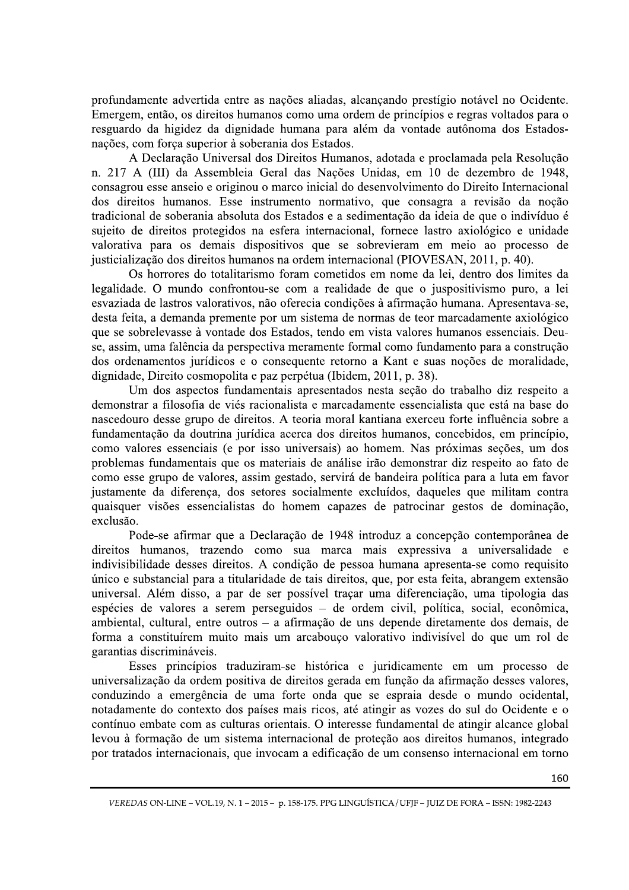profundamente advertida entre as nações aliadas, alcançando prestígio notável no Ocidente. Emergem, então, os direitos humanos como uma ordem de princípios e regras voltados para o resguardo da higidez da dignidade humana para além da vontade autônoma dos Estadosnações, com força superior à soberania dos Estados.

A Declaração Universal dos Direitos Humanos, adotada e proclamada pela Resolução n. 217 A (III) da Assembleia Geral das Nações Unidas, em 10 de dezembro de 1948, consagrou esse anseio e originou o marco inicial do desenvolvimento do Direito Internacional dos direitos humanos. Esse instrumento normativo, que consagra a revisão da noção tradicional de soberania absoluta dos Estados e a sedimentação da ideia de que o indivíduo é sujeito de direitos protegidos na esfera internacional, fornece lastro axiológico e unidade valorativa para os demais dispositivos que se sobrevieram em meio ao processo de justicialização dos direitos humanos na ordem internacional (PIOVESAN, 2011, p. 40).

Os horrores do totalitarismo foram cometidos em nome da lei, dentro dos limites da legalidade. O mundo confrontou-se com a realidade de que o juspositivismo puro, a lei esvaziada de lastros valorativos, não oferecia condições à afirmação humana. Apresentava-se, desta feita, a demanda premente por um sistema de normas de teor marcadamente axiológico que se sobrelevasse à vontade dos Estados, tendo em vista valores humanos essenciais. Deuse, assim, uma falência da perspectiva meramente formal como fundamento para a construção dos ordenamentos jurídicos e o consequente retorno a Kant e suas noções de moralidade, dignidade, Direito cosmopolita e paz perpétua (Ibidem, 2011, p. 38).

Um dos aspectos fundamentais apresentados nesta seção do trabalho diz respeito a demonstrar a filosofia de viés racionalista e marcadamente essencialista que está na base do nascedouro desse grupo de direitos. A teoria moral kantiana exerceu forte influência sobre a fundamentação da doutrina jurídica acerca dos direitos humanos, concebidos, em princípio, como valores essenciais (e por isso universais) ao homem. Nas próximas seções, um dos problemas fundamentais que os materiais de análise irão demonstrar diz respeito ao fato de como esse grupo de valores, assim gestado, servirá de bandeira política para a luta em favor justamente da diferença, dos setores socialmente excluídos, daqueles que militam contra quaisquer visões essencialistas do homem capazes de patrocinar gestos de dominação, exclusão.

Pode-se afirmar que a Declaração de 1948 introduz a concepção contemporânea de direitos humanos, trazendo como sua marca mais expressiva a universalidade e indivisibilidade desses direitos. A condição de pessoa humana apresenta-se como requisito único e substancial para a titularidade de tais direitos, que, por esta feita, abrangem extensão universal. Além disso, a par de ser possível traçar uma diferenciação, uma tipologia das espécies de valores a serem perseguidos – de ordem civil, política, social, econômica, ambiental, cultural, entre outros - a afirmação de uns depende diretamente dos demais, de forma a constituírem muito mais um arcabouço valorativo indivisível do que um rol de garantias discrimináveis.

Esses princípios traduziram-se histórica e juridicamente em um processo de universalização da ordem positiva de direitos gerada em função da afirmação desses valores, conduzindo a emergência de uma forte onda que se espraia desde o mundo ocidental, notadamente do contexto dos países mais ricos, até atingir as vozes do sul do Ocidente e o contínuo embate com as culturas orientais. O interesse fundamental de atingir alcance global levou à formação de um sistema internacional de proteção aos direitos humanos, integrado por tratados internacionais, que invocam a edificação de um consenso internacional em torno

VEREDAS ON-LINE - VOL.19, N. 1 - 2015 - p. 158-175. PPG LINGUÍSTICA / UFJF - JUIZ DE FORA - ISSN: 1982-2243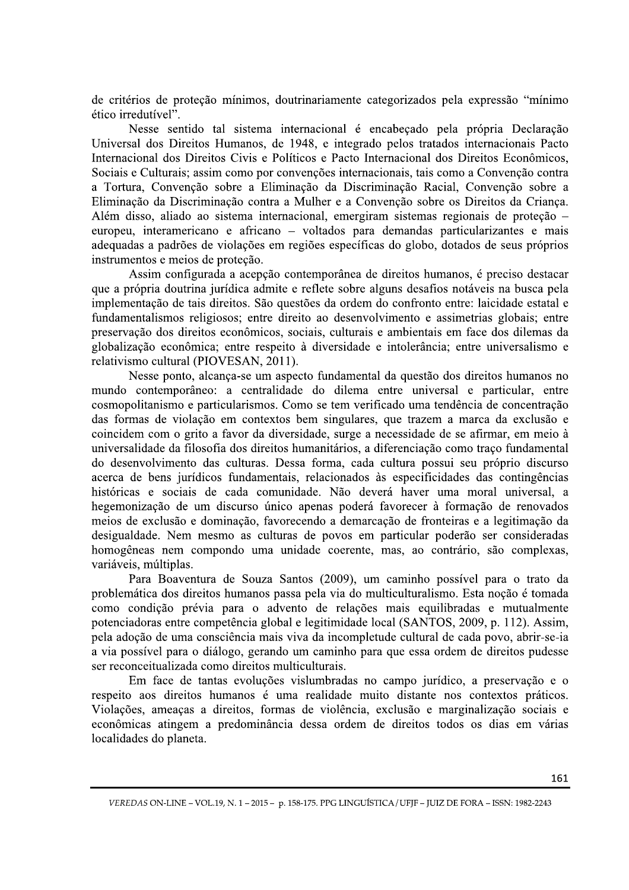de critérios de proteção mínimos, doutrinariamente categorizados pela expressão "mínimo" ético irredutível".

Nesse sentido tal sistema internacional é encabeçado pela própria Declaração Universal dos Direitos Humanos, de 1948, e integrado pelos tratados internacionais Pacto Internacional dos Direitos Civis e Políticos e Pacto Internacional dos Direitos Econômicos, Sociais e Culturais; assim como por convenções internacionais, tais como a Convenção contra a Tortura, Convenção sobre a Eliminação da Discriminação Racial, Convenção sobre a Eliminação da Discriminação contra a Mulher e a Convenção sobre os Direitos da Criança. Além disso, aliado ao sistema internacional, emergiram sistemas regionais de proteção – europeu, interamericano e africano - voltados para demandas particularizantes e mais adequadas a padrões de violações em regiões específicas do globo, dotados de seus próprios instrumentos e meios de proteção.

Assim configurada a acepção contemporânea de direitos humanos, é preciso destacar que a própria doutrina jurídica admite e reflete sobre alguns desafios notáveis na busca pela implementação de tais direitos. São questões da ordem do confronto entre: laicidade estatal e fundamentalismos religiosos; entre direito ao desenvolvimento e assimetrias globais; entre preservação dos direitos econômicos, sociais, culturais e ambientais em face dos dilemas da globalização econômica; entre respeito à diversidade e intolerância; entre universalismo e relativismo cultural (PIOVESAN, 2011).

Nesse ponto, alcança-se um aspecto fundamental da questão dos direitos humanos no mundo contemporâneo: a centralidade do dilema entre universal e particular, entre cosmopolitanismo e particularismos. Como se tem verificado uma tendência de concentração das formas de violação em contextos bem singulares, que trazem a marca da exclusão e coincidem com o grito a favor da diversidade, surge a necessidade de se afirmar, em meio à universalidade da filosofia dos direitos humanitários, a diferenciação como traço fundamental do desenvolvimento das culturas. Dessa forma, cada cultura possui seu próprio discurso acerca de bens jurídicos fundamentais, relacionados às especificidades das contingências históricas e sociais de cada comunidade. Não deverá haver uma moral universal, a hegemonização de um discurso único apenas poderá favorecer à formação de renovados meios de exclusão e dominação, favorecendo a demarcação de fronteiras e a legitimação da desigualdade. Nem mesmo as culturas de povos em particular poderão ser consideradas homogêneas nem compondo uma unidade coerente, mas, ao contrário, são complexas, variáveis, múltiplas.

Para Boaventura de Souza Santos (2009), um caminho possível para o trato da problemática dos direitos humanos passa pela via do multiculturalismo. Esta noção é tomada como condição prévia para o advento de relações mais equilibradas e mutualmente potenciadoras entre competência global e legitimidade local (SANTOS, 2009, p. 112). Assim, pela adoção de uma consciência mais viva da incompletude cultural de cada povo, abrir-se-ia a via possível para o diálogo, gerando um caminho para que essa ordem de direitos pudesse ser reconceitualizada como direitos multiculturais.

Em face de tantas evoluções vislumbradas no campo jurídico, a preservação e o respeito aos direitos humanos é uma realidade muito distante nos contextos práticos. Violações, ameaças a direitos, formas de violência, exclusão e marginalização sociais e econômicas atingem a predominância dessa ordem de direitos todos os dias em várias localidades do planeta.

VEREDAS ON-LINE - VOL.19, N. 1 - 2015 - p. 158-175. PPG LINGUÍSTICA / UFJF - JUIZ DE FORA - ISSN: 1982-2243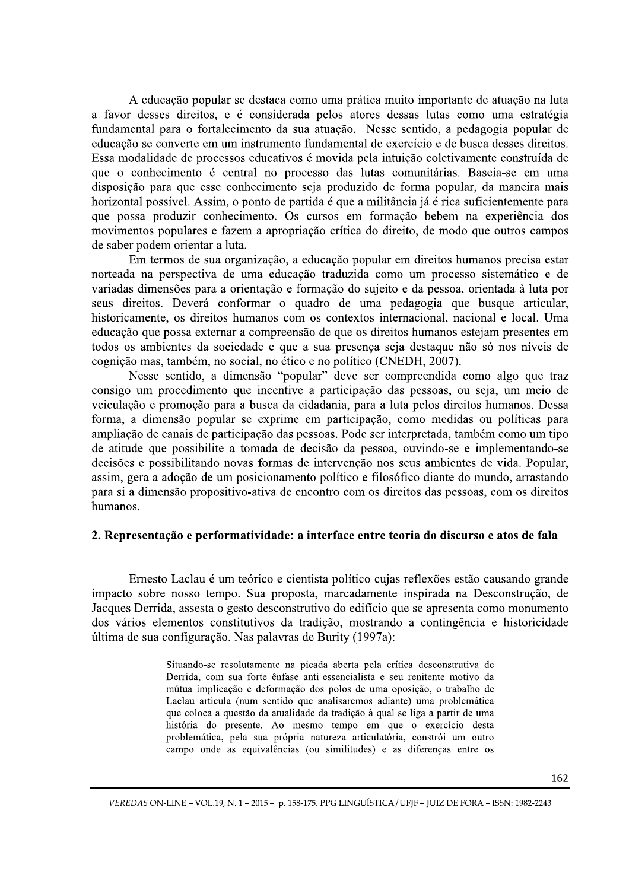A educação popular se destaca como uma prática muito importante de atuação na luta a favor desses direitos, e é considerada pelos atores dessas lutas como uma estratégia fundamental para o fortalecimento da sua atuação. Nesse sentido, a pedagogia popular de educação se converte em um instrumento fundamental de exercício e de busca desses direitos. Essa modalidade de processos educativos é movida pela intuição coletivamente construída de que o conhecimento é central no processo das lutas comunitárias. Baseia-se em uma disposição para que esse conhecimento seja produzido de forma popular, da maneira mais horizontal possível. Assim, o ponto de partida é que a militância já é rica suficientemente para que possa produzir conhecimento. Os cursos em formação bebem na experiência dos movimentos populares e fazem a apropriação crítica do direito, de modo que outros campos de saber podem orientar a luta.

Em termos de sua organização, a educação popular em direitos humanos precisa estar norteada na perspectiva de uma educação traduzida como um processo sistemático e de variadas dimensões para a orientação e formação do sujeito e da pessoa, orientada à luta por seus direitos. Deverá conformar o quadro de uma pedagogia que busque articular, historicamente, os direitos humanos com os contextos internacional, nacional e local. Uma educação que possa externar a compreensão de que os direitos humanos estejam presentes em todos os ambientes da sociedade e que a sua presença seja destaque não só nos níveis de cognição mas, também, no social, no ético e no político (CNEDH, 2007).

Nesse sentido, a dimensão "popular" deve ser compreendida como algo que traz consigo um procedimento que incentive a participação das pessoas, ou seja, um meio de veiculação e promoção para a busca da cidadania, para a luta pelos direitos humanos. Dessa forma, a dimensão popular se exprime em participação, como medidas ou políticas para ampliação de canais de participação das pessoas. Pode ser interpretada, também como um tipo de atitude que possibilite a tomada de decisão da pessoa, ouvindo-se e implementando-se decisões e possibilitando novas formas de intervenção nos seus ambientes de vida. Popular, assim, gera a adoção de um posicionamento político e filosófico diante do mundo, arrastando para si a dimensão propositivo-ativa de encontro com os direitos das pessoas, com os direitos humanos.

#### 2. Representação e performatividade: a interface entre teoria do discurso e atos de fala

Ernesto Laclau é um teórico e cientista político cujas reflexões estão causando grande impacto sobre nosso tempo. Sua proposta, marcadamente inspirada na Desconstrução, de Jacques Derrida, assesta o gesto desconstrutivo do edifício que se apresenta como monumento dos vários elementos constitutivos da tradição, mostrando a contingência e historicidade última de sua configuração. Nas palavras de Burity (1997a):

> Situando-se resolutamente na picada aberta pela crítica desconstrutiva de Derrida, com sua forte ênfase anti-essencialista e seu renitente motivo da mútua implicação e deformação dos polos de uma oposição, o trabalho de Laclau articula (num sentido que analisaremos adiante) uma problemática que coloca a questão da atualidade da tradição à qual se liga a partir de uma história do presente. Ao mesmo tempo em que o exercício desta problemática, pela sua própria natureza articulatória, constrói um outro campo onde as equivalências (ou similitudes) e as diferenças entre os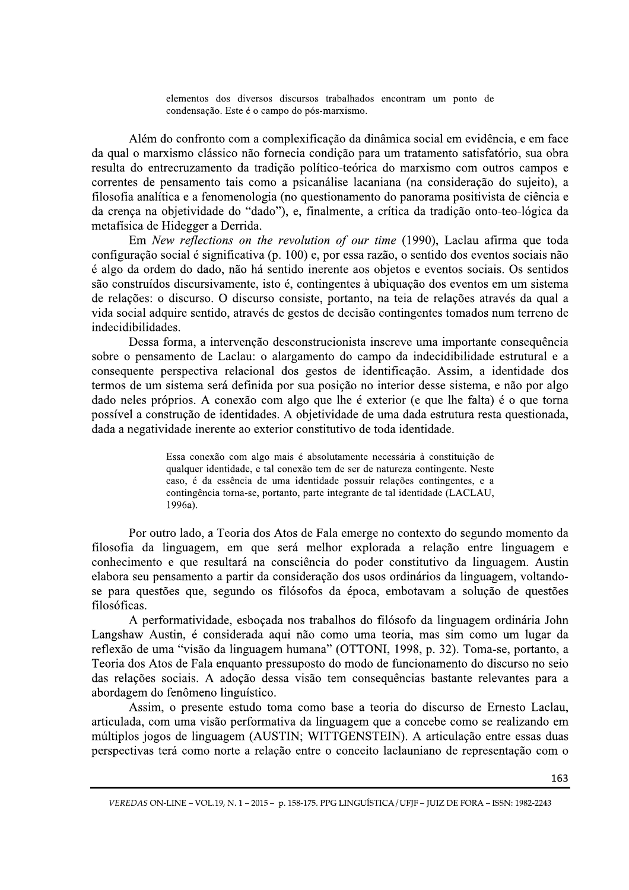elementos dos diversos discursos trabalhados encontram um ponto de condensação. Este é o campo do pós-marxismo.

Além do confronto com a complexificação da dinâmica social em evidência, e em face da qual o marxismo clássico não fornecia condição para um tratamento satisfatório, sua obra resulta do entrecruzamento da tradição político-teórica do marxismo com outros campos e correntes de pensamento tais como a psicanálise lacaniana (na consideração do sujeito), a filosofia analítica e a fenomenologia (no questionamento do panorama positivista de ciência e da crença na objetividade do "dado"), e, finalmente, a crítica da tradição onto-teo-lógica da metafísica de Hidegger a Derrida.

Em New reflections on the revolution of our time (1990), Laclau afirma que toda configuração social é significativa (p. 100) e, por essa razão, o sentido dos eventos sociais não é algo da ordem do dado, não há sentido inerente aos objetos e eventos sociais. Os sentidos são construídos discursivamente, isto é, contingentes à ubiquação dos eventos em um sistema de relações: o discurso. O discurso consiste, portanto, na teia de relações através da qual a vida social adquire sentido, através de gestos de decisão contingentes tomados num terreno de indecidibilidades.

Dessa forma, a intervenção desconstrucionista inscreve uma importante consequência sobre o pensamento de Laclau: o alargamento do campo da indecidibilidade estrutural e a consequente perspectiva relacional dos gestos de identificação. Assim, a identidade dos termos de um sistema será definida por sua posição no interior desse sistema, e não por algo dado neles próprios. A conexão com algo que lhe é exterior (e que lhe falta) é o que torna possível a construção de identidades. A objetividade de uma dada estrutura resta questionada, dada a negatividade inerente ao exterior constitutivo de toda identidade.

> Essa conexão com algo mais é absolutamente necessária à constituição de qualquer identidade, e tal conexão tem de ser de natureza contingente. Neste caso, é da essência de uma identidade possuir relações contingentes, e a contingência torna-se, portanto, parte integrante de tal identidade (LACLAU,  $1996a)$ .

Por outro lado, a Teoria dos Atos de Fala emerge no contexto do segundo momento da filosofia da linguagem, em que será melhor explorada a relação entre linguagem e conhecimento e que resultará na consciência do poder constitutivo da linguagem. Austin elabora seu pensamento a partir da consideração dos usos ordinários da linguagem, voltandose para questões que, segundo os filósofos da época, embotavam a solução de questões filosóficas.

A performatividade, esbocada nos trabalhos do filósofo da linguagem ordinária John Langshaw Austin, é considerada aqui não como uma teoria, mas sim como um lugar da reflexão de uma "visão da linguagem humana" (OTTONI, 1998, p. 32). Toma-se, portanto, a Teoria dos Atos de Fala enquanto pressuposto do modo de funcionamento do discurso no seio das relações sociais. A adoção dessa visão tem consequências bastante relevantes para a abordagem do fenômeno linguístico.

Assim, o presente estudo toma como base a teoria do discurso de Ernesto Laclau, articulada, com uma visão performativa da linguagem que a concebe como se realizando em múltiplos jogos de linguagem (AUSTIN; WITTGENSTEIN). A articulação entre essas duas perspectivas terá como norte a relação entre o conceito laclauniano de representação com o

VEREDAS ON-LINE - VOL.19, N. 1 - 2015 - p. 158-175. PPG LINGUÍSTICA / UFJF - JUIZ DE FORA - ISSN: 1982-2243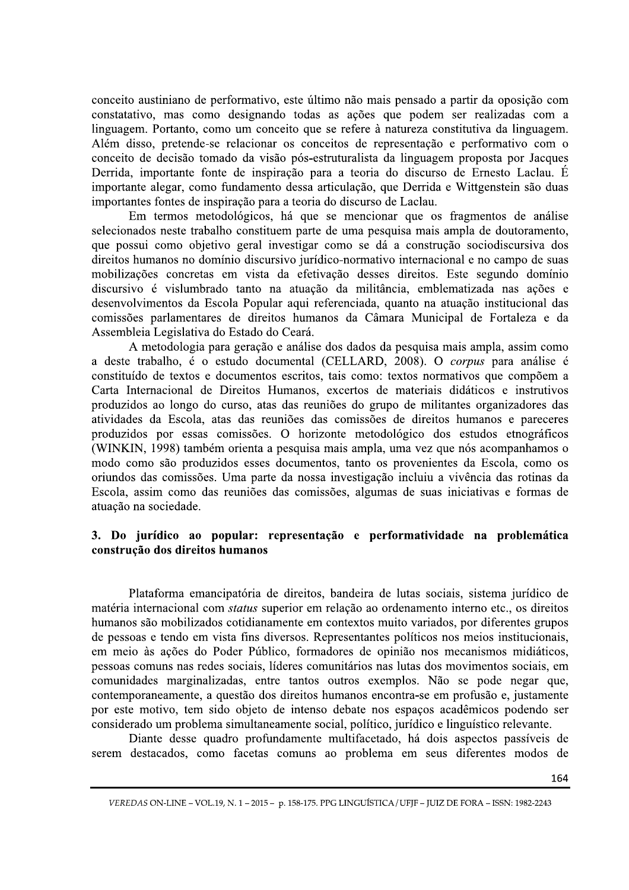conceito austiniano de performativo, este último não mais pensado a partir da oposição com constatativo, mas como designando todas as ações que podem ser realizadas com a linguagem. Portanto, como um conceito que se refere à natureza constitutiva da linguagem. Além disso, pretende-se relacionar os conceitos de representação e performativo com o conceito de decisão tomado da visão pós-estruturalista da linguagem proposta por Jacques Derrida, importante fonte de inspiração para a teoria do discurso de Ernesto Laclau. É importante alegar, como fundamento dessa articulação, que Derrida e Wittgenstein são duas importantes fontes de inspiração para a teoria do discurso de Laclau.

Em termos metodológicos, há que se mencionar que os fragmentos de análise selecionados neste trabalho constituem parte de uma pesquisa mais ampla de doutoramento, que possui como objetivo geral investigar como se dá a construção sociodiscursiva dos direitos humanos no domínio discursivo jurídico-normativo internacional e no campo de suas mobilizações concretas em vista da efetivação desses direitos. Este segundo domínio discursivo é vislumbrado tanto na atuação da militância, emblematizada nas ações e desenvolvimentos da Escola Popular aqui referenciada, quanto na atuação institucional das comissões parlamentares de direitos humanos da Câmara Municipal de Fortaleza e da Assembleia Legislativa do Estado do Ceará.

A metodologia para geração e análise dos dados da pesquisa mais ampla, assim como a deste trabalho, é o estudo documental (CELLARD, 2008). O *corpus* para análise é constituído de textos e documentos escritos, tais como: textos normativos que compõem a Carta Internacional de Direitos Humanos, excertos de materiais didáticos e instrutivos produzidos ao longo do curso, atas das reuniões do grupo de militantes organizadores das atividades da Escola, atas das reuniões das comissões de direitos humanos e pareceres produzidos por essas comissões. O horizonte metodológico dos estudos etnográficos (WINKIN, 1998) também orienta a pesquisa mais ampla, uma vez que nós acompanhamos o modo como são produzidos esses documentos, tanto os provenientes da Escola, como os oriundos das comissões. Uma parte da nossa investigação incluiu a vivência das rotinas da Escola, assim como das reuniões das comissões, algumas de suas iniciativas e formas de atuação na sociedade.

# 3. Do jurídico ao popular: representação e performatividade na problemática construção dos direitos humanos

Plataforma emancipatória de direitos, bandeira de lutas sociais, sistema jurídico de matéria internacional com *status* superior em relação ao ordenamento interno etc., os direitos humanos são mobilizados cotidianamente em contextos muito variados, por diferentes grupos de pessoas e tendo em vista fins diversos. Representantes políticos nos meios institucionais, em meio às ações do Poder Público, formadores de opinião nos mecanismos midiáticos, pessoas comuns nas redes sociais, líderes comunitários nas lutas dos movimentos sociais, em comunidades marginalizadas, entre tantos outros exemplos. Não se pode negar que, contemporaneamente, a questão dos direitos humanos encontra-se em profusão e, justamente por este motivo, tem sido objeto de intenso debate nos espaços acadêmicos podendo ser considerado um problema simultaneamente social, político, jurídico e linguístico relevante.

Diante desse quadro profundamente multifacetado, há dois aspectos passíveis de serem destacados, como facetas comuns ao problema em seus diferentes modos de

VEREDAS ON-LINE - VOL.19, N. 1 - 2015 - p. 158-175. PPG LINGUÍSTICA / UFJF - JUIZ DE FORA - ISSN: 1982-2243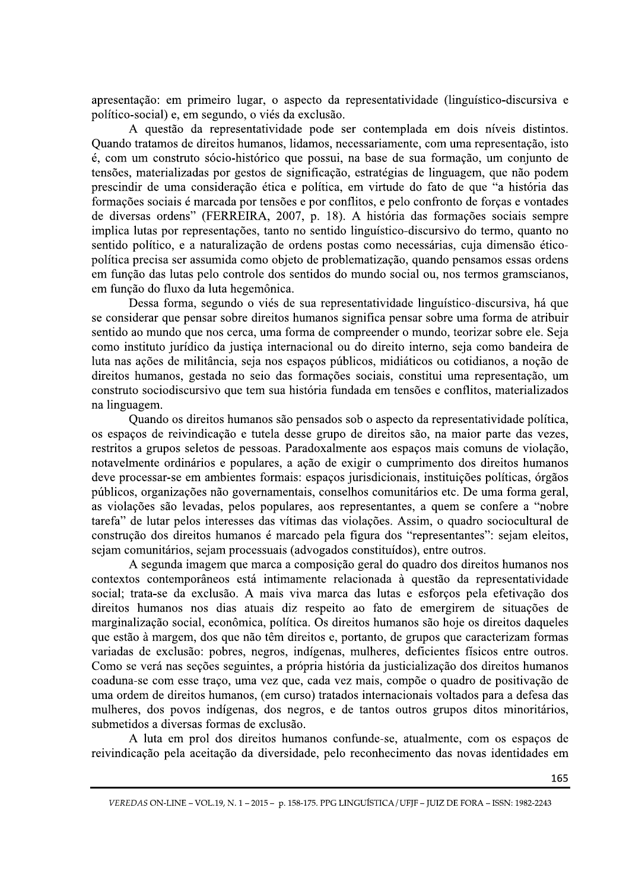apresentação: em primeiro lugar, o aspecto da representatividade (linguístico-discursiva e político-social) e, em segundo, o viés da exclusão.

A questão da representatividade pode ser contemplada em dois níveis distintos. Quando tratamos de direitos humanos, lidamos, necessariamente, com uma representação, isto é, com um construto sócio-histórico que possui, na base de sua formação, um conjunto de tensões, materializadas por gestos de significação, estratégias de linguagem, que não podem prescindir de uma consideração ética e política, em virtude do fato de que "a história das formações sociais é marcada por tensões e por conflitos, e pelo confronto de forças e vontades de diversas ordens" (FERREIRA, 2007, p. 18). A história das formações sociais sempre implica lutas por representações, tanto no sentido linguístico-discursivo do termo, quanto no sentido político, e a naturalização de ordens postas como necessárias, cuja dimensão éticopolítica precisa ser assumida como objeto de problematização, quando pensamos essas ordens em função das lutas pelo controle dos sentidos do mundo social ou, nos termos gramscianos, em função do fluxo da luta hegemônica.

Dessa forma, segundo o viés de sua representatividade linguístico-discursiva, há que se considerar que pensar sobre direitos humanos significa pensar sobre uma forma de atribuir sentido ao mundo que nos cerca, uma forma de compreender o mundo, teorizar sobre ele. Seja como instituto jurídico da justiça internacional ou do direito interno, seja como bandeira de luta nas ações de militância, seja nos espaços públicos, midiáticos ou cotidianos, a noção de direitos humanos, gestada no seio das formações sociais, constitui uma representação, um construto sociodiscursivo que tem sua história fundada em tensões e conflitos, materializados na linguagem.

Quando os direitos humanos são pensados sob o aspecto da representatividade política, os espaços de reivindicação e tutela desse grupo de direitos são, na maior parte das vezes, restritos a grupos seletos de pessoas. Paradoxalmente aos espaços mais comuns de violação, notavelmente ordinários e populares, a ação de exigir o cumprimento dos direitos humanos deve processar-se em ambientes formais: espaços jurisdicionais, instituições políticas, órgãos públicos, organizações não governamentais, conselhos comunitários etc. De uma forma geral, as violações são levadas, pelos populares, aos representantes, a quem se confere a "nobre tarefa" de lutar pelos interesses das vítimas das violações. Assim, o quadro sociocultural de construção dos direitos humanos é marcado pela figura dos "representantes": sejam eleitos, sejam comunitários, sejam processuais (advogados constituídos), entre outros.

A segunda imagem que marca a composição geral do quadro dos direitos humanos nos contextos contemporâneos está intimamente relacionada à questão da representatividade social; trata-se da exclusão. A mais viva marca das lutas e esforços pela efetivação dos direitos humanos nos dias atuais diz respeito ao fato de emergirem de situações de marginalização social, econômica, política. Os direitos humanos são hoje os direitos daqueles que estão à margem, dos que não têm direitos e, portanto, de grupos que caracterizam formas variadas de exclusão: pobres, negros, indígenas, mulheres, deficientes físicos entre outros. Como se verá nas seções seguintes, a própria história da justicialização dos direitos humanos coaduna-se com esse traço, uma vez que, cada vez mais, compõe o quadro de positivação de uma ordem de direitos humanos, (em curso) tratados internacionais voltados para a defesa das mulheres, dos povos indígenas, dos negros, e de tantos outros grupos ditos minoritários, submetidos a diversas formas de exclusão.

A luta em prol dos direitos humanos confunde-se, atualmente, com os espaços de reivindicação pela aceitação da diversidade, pelo reconhecimento das novas identidades em

VEREDAS ON-LINE - VOL.19, N. 1 - 2015 - p. 158-175. PPG LINGUÍSTICA / UFJF - JUIZ DE FORA - ISSN: 1982-2243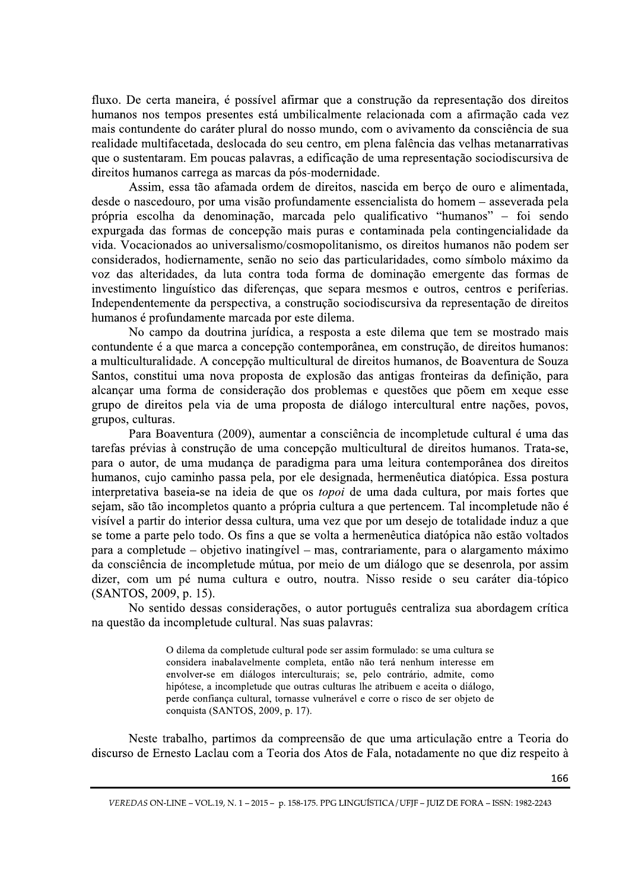fluxo. De certa maneira, é possível afirmar que a construção da representação dos direitos humanos nos tempos presentes está umbilicalmente relacionada com a afirmação cada vez mais contundente do caráter plural do nosso mundo, com o avivamento da consciência de sua realidade multifacetada, deslocada do seu centro, em plena falência das velhas metanarrativas que o sustentaram. Em poucas palavras, a edificação de uma representação sociodiscursiva de direitos humanos carrega as marcas da pós-modernidade.

Assim, essa tão afamada ordem de direitos, nascida em berco de ouro e alimentada, desde o nascedouro, por uma visão profundamente essencialista do homem – asseverada pela própria escolha da denominação, marcada pelo qualificativo "humanos" – foi sendo expurgada das formas de concepção mais puras e contaminada pela contingencialidade da vida. Vocacionados ao universalismo/cosmopolitanismo, os direitos humanos não podem ser considerados, hodiernamente, senão no seio das particularidades, como símbolo máximo da voz das alteridades, da luta contra toda forma de dominação emergente das formas de investimento linguístico das diferenças, que separa mesmos e outros, centros e periferias. Independentemente da perspectiva, a construção sociodiscursiva da representação de direitos humanos é profundamente marcada por este dilema.

No campo da doutrina jurídica, a resposta a este dilema que tem se mostrado mais contundente é a que marca a concepção contemporânea, em construção, de direitos humanos: a multiculturalidade. A concepção multicultural de direitos humanos, de Boaventura de Souza Santos, constitui uma nova proposta de explosão das antigas fronteiras da definição, para alcançar uma forma de consideração dos problemas e questões que põem em xeque esse grupo de direitos pela via de uma proposta de diálogo intercultural entre nações, povos, grupos, culturas.

Para Boaventura (2009), aumentar a consciência de incompletude cultural é uma das tarefas prévias à construção de uma concepção multicultural de direitos humanos. Trata-se, para o autor, de uma mudança de paradigma para uma leitura contemporânea dos direitos humanos, cujo caminho passa pela, por ele designada, hermenêutica diatópica. Essa postura interpretativa baseia-se na ideia de que os *topoi* de uma dada cultura, por mais fortes que sejam, são tão incompletos quanto a própria cultura a que pertencem. Tal incompletude não é visível a partir do interior dessa cultura, uma vez que por um desejo de totalidade induz a que se tome a parte pelo todo. Os fins a que se volta a hermenêutica diatópica não estão voltados para a completude – objetivo inatingível – mas, contrariamente, para o alargamento máximo da consciência de incompletude mútua, por meio de um diálogo que se desenrola, por assim dizer, com um pé numa cultura e outro, noutra. Nisso reside o seu caráter dia-tópico (SANTOS, 2009, p. 15).

No sentido dessas considerações, o autor português centraliza sua abordagem crítica na questão da incompletude cultural. Nas suas palavras:

> O dilema da completude cultural pode ser assim formulado: se uma cultura se considera inabalavelmente completa, então não terá nenhum interesse em envolver-se em diálogos interculturais; se, pelo contrário, admite, como hipótese, a incompletude que outras culturas lhe atribuem e aceita o diálogo, perde confiança cultural, tornasse vulnerável e corre o risco de ser objeto de conquista (SANTOS, 2009, p. 17).

Neste trabalho, partimos da compreensão de que uma articulação entre a Teoria do discurso de Ernesto Laclau com a Teoria dos Atos de Fala, notadamente no que diz respeito à

VEREDAS ON-LINE - VOL.19, N. 1 - 2015 - p. 158-175. PPG LINGUÍSTICA / UFJF - JUIZ DE FORA - ISSN: 1982-2243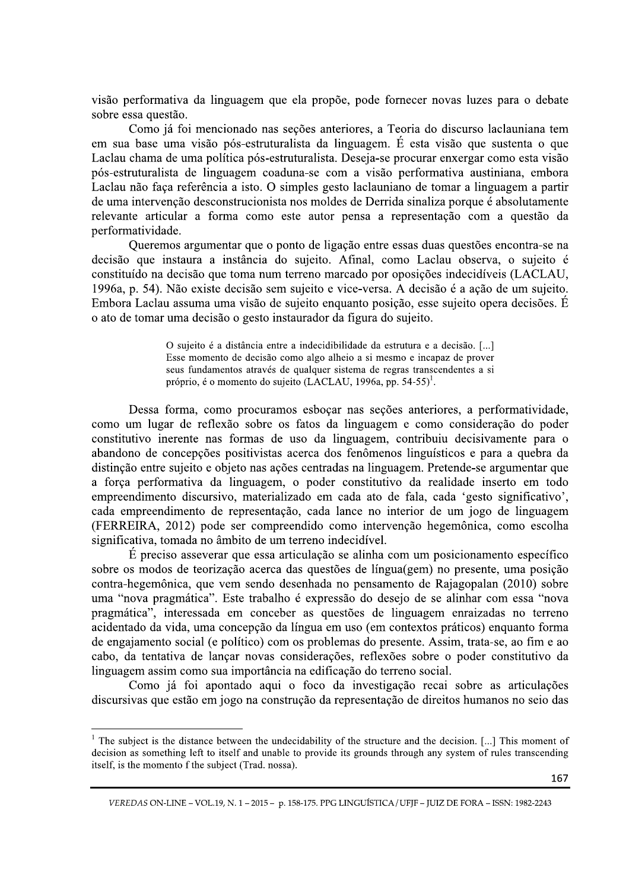visão performativa da linguagem que ela propõe, pode fornecer novas luzes para o debate sobre essa questão.

Como já foi mencionado nas seções anteriores, a Teoria do discurso laclauniana tem em sua base uma visão pós-estruturalista da linguagem. É esta visão que sustenta o que Laclau chama de uma política pós-estruturalista. Deseja-se procurar enxergar como esta visão pós-estruturalista de linguagem coaduna-se com a visão performativa austiniana, embora Laclau não faca referência a isto. O simples gesto laclauniano de tomar a linguagem a partir de uma intervenção desconstrucionista nos moldes de Derrida sinaliza porque é absolutamente relevante articular a forma como este autor pensa a representação com a questão da performatividade.

Queremos argumentar que o ponto de ligação entre essas duas questões encontra-se na decisão que instaura a instância do sujeito. Afinal, como Laclau observa, o sujeito é constituído na decisão que toma num terreno marcado por oposições indecidíveis (LACLAU, 1996a, p. 54). Não existe decisão sem sujeito e vice-versa. A decisão é a ação de um sujeito. Embora Laclau assuma uma visão de sujeito enquanto posição, esse sujeito opera decisões. É o ato de tomar uma decisão o gesto instaurador da figura do sujeito.

> O sujeito é a distância entre a indecidibilidade da estrutura e a decisão. [...] Esse momento de decisão como algo alheio a si mesmo e incapaz de prover seus fundamentos através de qualquer sistema de regras transcendentes a si próprio, é o momento do sujeito (LACLAU, 1996a, pp. 54-55)<sup>1</sup>.

Dessa forma, como procuramos esboçar nas seções anteriores, a performatividade, como um lugar de reflexão sobre os fatos da linguagem e como consideração do poder constitutivo inerente nas formas de uso da linguagem, contribuiu decisivamente para o abandono de concepções positivistas acerca dos fenômenos linguísticos e para a quebra da distinção entre sujeito e objeto nas ações centradas na linguagem. Pretende-se argumentar que a força performativa da linguagem, o poder constitutivo da realidade inserto em todo empreendimento discursivo, materializado em cada ato de fala, cada 'gesto significativo', cada empreendimento de representação, cada lance no interior de um jogo de linguagem (FERREIRA, 2012) pode ser compreendido como intervenção hegemônica, como escolha significativa, tomada no âmbito de um terreno indecidível.

 $\acute{E}$  preciso asseverar que essa articulação se alinha com um posicionamento específico sobre os modos de teorização acerca das questões de língua(gem) no presente, uma posição contra-hegemônica, que vem sendo desenhada no pensamento de Rajagopalan (2010) sobre uma "nova pragmática". Este trabalho é expressão do desejo de se alinhar com essa "nova pragmática", interessada em conceber as questões de linguagem enraizadas no terreno acidentado da vida, uma concepção da língua em uso (em contextos práticos) enquanto forma de engajamento social (e político) com os problemas do presente. Assim, trata-se, ao fim e ao cabo, da tentativa de lançar novas considerações, reflexões sobre o poder constitutivo da linguagem assim como sua importância na edificação do terreno social.

Como já foi apontado aqui o foco da investigação recai sobre as articulações discursivas que estão em jogo na construção da representação de direitos humanos no seio das

 $1$  The subject is the distance between the undecidability of the structure and the decision. [...] This moment of decision as something left to itself and unable to provide its grounds through any system of rules transcending itself, is the momento f the subject (Trad. nossa).

VEREDAS ON-LINE - VOL.19, N. 1 - 2015 - p. 158-175. PPG LINGUÍSTICA / UFJF - JUIZ DE FORA - ISSN: 1982-2243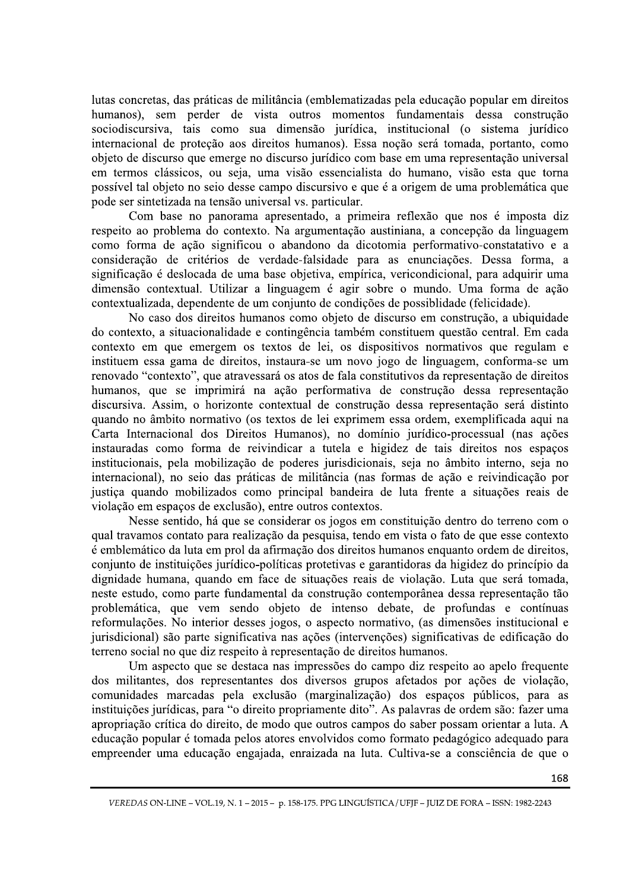lutas concretas, das práticas de militância (emblematizadas pela educação popular em direitos humanos), sem perder de vista outros momentos fundamentais dessa construção sociodiscursiva, tais como sua dimensão jurídica, institucional (o sistema jurídico internacional de proteção aos direitos humanos). Essa noção será tomada, portanto, como objeto de discurso que emerge no discurso jurídico com base em uma representação universal em termos clássicos, ou seja, uma visão essencialista do humano, visão esta que torna possível tal objeto no sejo desse campo discursivo e que é a origem de uma problemática que pode ser sintetizada na tensão universal vs. particular.

Com base no panorama apresentado, a primeira reflexão que nos é imposta diz respeito ao problema do contexto. Na argumentação austiniana, a concepção da linguagem como forma de ação significou o abandono da dicotomia performativo-constatativo e a consideração de critérios de verdade-falsidade para as enunciações. Dessa forma, a significação é deslocada de uma base objetiva, empírica, vericondicional, para adquirir uma dimensão contextual. Utilizar a linguagem é agir sobre o mundo. Uma forma de ação contextualizada, dependente de um conjunto de condições de possiblidade (felicidade).

No caso dos direitos humanos como objeto de discurso em construção, a ubiquidade do contexto, a situacionalidade e contingência também constituem questão central. Em cada contexto em que emergem os textos de lei, os dispositivos normativos que regulam e instituem essa gama de direitos, instaura-se um novo jogo de linguagem, conforma-se um renovado "contexto", que atravessará os atos de fala constitutivos da representação de direitos humanos, que se imprimirá na ação performativa de construção dessa representação discursiva. Assim, o horizonte contextual de construção dessa representação será distinto quando no âmbito normativo (os textos de lei exprimem essa ordem, exemplificada aqui na Carta Internacional dos Direitos Humanos), no domínio jurídico-processual (nas ações instauradas como forma de reivindicar a tutela e higidez de tais direitos nos espaços institucionais, pela mobilização de poderes jurisdicionais, seja no âmbito interno, seja no internacional), no seio das práticas de militância (nas formas de ação e reivindicação por justiça quando mobilizados como principal bandeira de luta frente a situações reais de violação em espaços de exclusão), entre outros contextos.

Nesse sentido, há que se considerar os jogos em constituição dentro do terreno com o qual travamos contato para realização da pesquisa, tendo em vista o fato de que esse contexto é emblemático da luta em prol da afirmação dos direitos humanos enquanto ordem de direitos, conjunto de instituições jurídico-políticas protetivas e garantidoras da higidez do princípio da dignidade humana, quando em face de situações reais de violação. Luta que será tomada, neste estudo, como parte fundamental da construção contemporânea dessa representação tão problemática, que vem sendo objeto de intenso debate, de profundas e contínuas reformulações. No interior desses jogos, o aspecto normativo, (as dimensões institucional e jurisdicional) são parte significativa nas ações (intervenções) significativas de edificação do terreno social no que diz respeito à representação de direitos humanos.

Um aspecto que se destaca nas impressões do campo diz respeito ao apelo frequente dos militantes, dos representantes dos diversos grupos afetados por ações de violação, comunidades marcadas pela exclusão (marginalização) dos espaços públicos, para as instituições jurídicas, para "o direito propriamente dito". As palavras de ordem são: fazer uma apropriação crítica do direito, de modo que outros campos do saber possam orientar a luta. A educação popular é tomada pelos atores envolvidos como formato pedagógico adequado para empreender uma educação engajada, enraizada na luta. Cultiva-se a consciência de que o

VEREDAS ON-LINE - VOL.19, N. 1 - 2015 - p. 158-175. PPG LINGUÍSTICA / UFJF - JUIZ DE FORA - ISSN: 1982-2243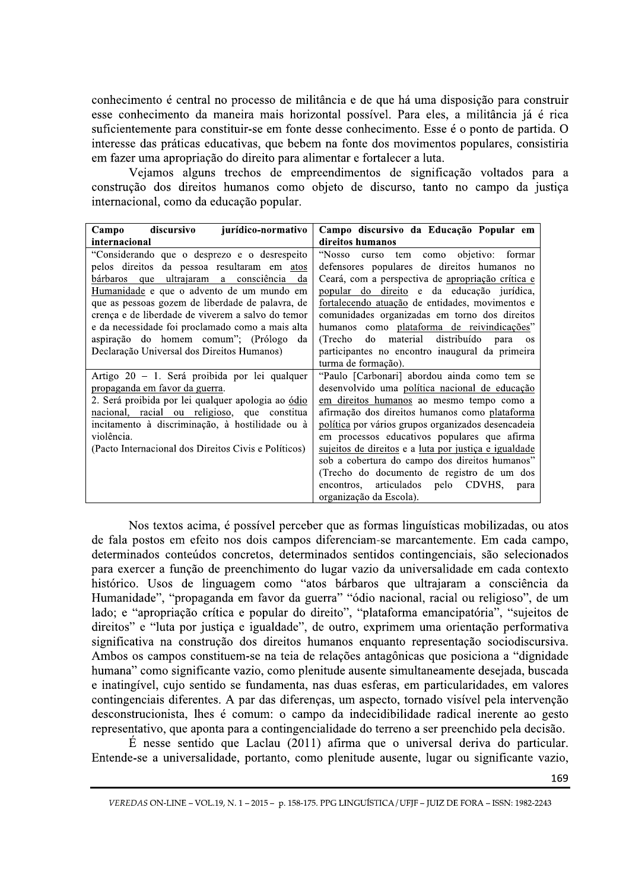conhecimento é central no processo de militância e de que há uma disposição para construir esse conhecimento da maneira mais horizontal possível. Para eles, a militância já é rica suficientemente para constituir-se em fonte desse conhecimento. Esse é o ponto de partida. O interesse das práticas educativas, que bebem na fonte dos movimentos populares, consistiria em fazer uma apropriação do direito para alimentar e fortalecer a luta.

Vejamos alguns trechos de empreendimentos de significação voltados para a construção dos direitos humanos como objeto de discurso, tanto no campo da justica internacional, como da educação popular.

| discursivo<br>jurídico-normativo<br>Campo            | Campo discursivo da Educação Popular em               |
|------------------------------------------------------|-------------------------------------------------------|
| internacional                                        | direitos humanos                                      |
| "Considerando que o desprezo e o desrespeito         | "Nosso curso tem como objetivo: formar                |
| pelos direitos da pessoa resultaram em atos          | defensores populares de direitos humanos no           |
| bárbaros que ultrajaram a consciência da             | Ceará, com a perspectiva de apropriação crítica e     |
| Humanidade e que o advento de um mundo em            | popular do direito e da educação jurídica,            |
| que as pessoas gozem de liberdade de palavra, de     | fortalecendo atuação de entidades, movimentos e       |
| crença e de liberdade de viverem a salvo do temor    | comunidades organizadas em torno dos direitos         |
| e da necessidade foi proclamado como a mais alta     | humanos como plataforma de reivindicações"            |
| aspiração do homem comum"; (Prólogo da               | (Trecho do material distribuído para<br>OS            |
| Declaração Universal dos Direitos Humanos)           | participantes no encontro inaugural da primeira       |
|                                                      | turma de formação).                                   |
| Artigo 20 – 1. Será proibida por lei qualquer        | "Paulo [Carbonari] abordou ainda como tem se          |
| propaganda em favor da guerra.                       | desenvolvido uma política nacional de educação        |
| 2. Será proibida por lei qualquer apologia ao ódio   | em direitos humanos ao mesmo tempo como a             |
| nacional, racial ou religioso, que constitua         | afirmação dos direitos humanos como plataforma        |
| incitamento à discriminação, à hostilidade ou à      | política por vários grupos organizados desencadeia    |
| violência.                                           | em processos educativos populares que afirma          |
| (Pacto Internacional dos Direitos Civis e Políticos) | sujeitos de direitos e a luta por justiça e igualdade |
|                                                      | sob a cobertura do campo dos direitos humanos"        |
|                                                      | (Trecho do documento de registro de um dos            |
|                                                      | encontros, articulados pelo CDVHS,<br>para            |
|                                                      | organização da Escola).                               |

Nos textos acima, é possível perceber que as formas linguísticas mobilizadas, ou atos de fala postos em efeito nos dois campos diferenciam-se marcantemente. Em cada campo, determinados conteúdos concretos, determinados sentidos contingenciais, são selecionados para exercer a função de preenchimento do lugar vazio da universalidade em cada contexto histórico. Usos de linguagem como "atos bárbaros que ultrajaram a consciência da Humanidade", "propaganda em favor da guerra" "ódio nacional, racial ou religioso", de um lado; e "apropriação crítica e popular do direito", "plataforma emancipatória", "sujeitos de direitos" e "luta por justiça e igualdade", de outro, exprimem uma orientação performativa significativa na construção dos direitos humanos enquanto representação sociodiscursiva. Ambos os campos constituem-se na teia de relações antagônicas que posiciona a "dignidade humana" como significante vazio, como plenitude ausente simultaneamente desejada, buscada e inatingível, cujo sentido se fundamenta, nas duas esferas, em particularidades, em valores contingenciais diferentes. A par das diferenças, um aspecto, tornado visível pela intervenção desconstrucionista, lhes é comum: o campo da indecidibilidade radical inerente ao gesto representativo, que aponta para a contingencialidade do terreno a ser preenchido pela decisão.

 $\acute{E}$  nesse sentido que Laclau (2011) afirma que o universal deriva do particular. Entende-se a universalidade, portanto, como plenitude ausente, lugar ou significante vazio,

VEREDAS ON-LINE - VOL.19, N. 1 - 2015 - p. 158-175. PPG LINGUÍSTICA / UFJF - JUIZ DE FORA - ISSN: 1982-2243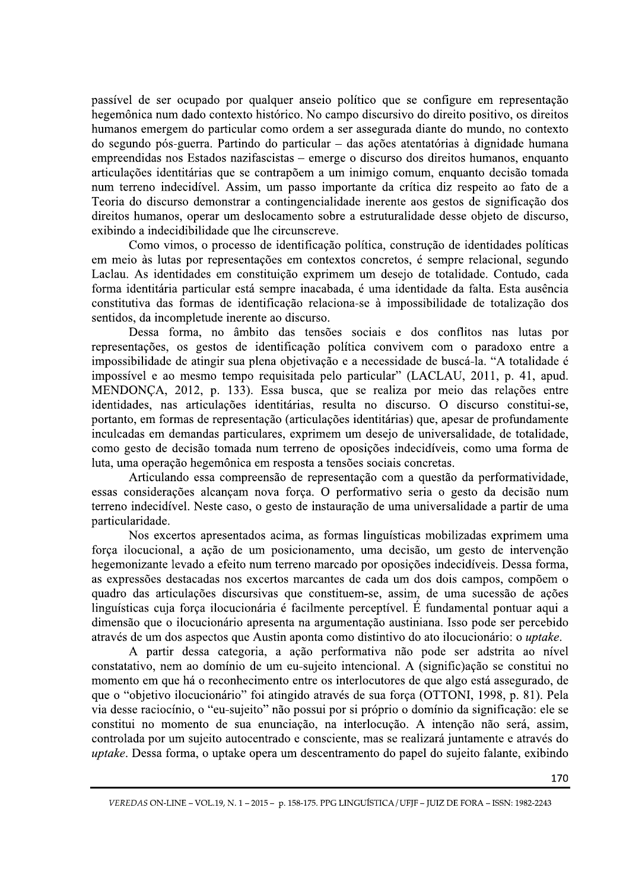passível de ser ocupado por qualquer anseio político que se configure em representação hegemônica num dado contexto histórico. No campo discursivo do direito positivo, os direitos humanos emergem do particular como ordem a ser assegurada diante do mundo, no contexto do segundo pós-guerra. Partindo do particular - das ações atentatórias à dignidade humana empreendidas nos Estados nazifascistas – emerge o discurso dos direitos humanos, enquanto articulações identitárias que se contrapõem a um inimigo comum, enquanto decisão tomada num terreno indecidível. Assim, um passo importante da crítica diz respeito ao fato de a Teoria do discurso demonstrar a contingencialidade inerente aos gestos de significação dos direitos humanos, operar um deslocamento sobre a estruturalidade desse objeto de discurso, exibindo a indecidibilidade que lhe circunscreve.

Como vimos, o processo de identificação política, construção de identidades políticas em meio às lutas por representações em contextos concretos, é sempre relacional, segundo Laclau. As identidades em constituição exprimem um desejo de totalidade. Contudo, cada forma identitária particular está sempre inacabada, é uma identidade da falta. Esta ausência constitutiva das formas de identificação relaciona-se à impossibilidade de totalização dos sentidos, da incompletude inerente ao discurso.

Dessa forma, no âmbito das tensões sociais e dos conflitos nas lutas por representações, os gestos de identificação política convivem com o paradoxo entre a impossibilidade de atingir sua plena objetivação e a necessidade de buscá-la. "A totalidade é impossível e ao mesmo tempo requisitada pelo particular" (LACLAU, 2011, p. 41, apud. MENDONÇA, 2012, p. 133). Essa busca, que se realiza por meio das relações entre identidades, nas articulações identitárias, resulta no discurso. O discurso constitui-se, portanto, em formas de representação (articulações identitárias) que, apesar de profundamente inculcadas em demandas particulares, exprimem um desejo de universalidade, de totalidade, como gesto de decisão tomada num terreno de oposições indecidíveis, como uma forma de luta, uma operação hegemônica em resposta a tensões sociais concretas.

Articulando essa compreensão de representação com a questão da performatividade, essas considerações alcançam nova força. O performativo seria o gesto da decisão num terreno indecidível. Neste caso, o gesto de instauração de uma universalidade a partir de uma particularidade.

Nos excertos apresentados acima, as formas linguísticas mobilizadas exprimem uma força ilocucional, a ação de um posicionamento, uma decisão, um gesto de intervenção hegemonizante levado a efeito num terreno marcado por oposições indecidíveis. Dessa forma, as expressões destacadas nos excertos marcantes de cada um dos dois campos, compõem o quadro das articulações discursivas que constituem-se, assim, de uma sucessão de ações  $\overline{\text{lingu}}$ isticas cuja força ilocucionária é facilmente perceptível. É fundamental pontuar aqui a dimensão que o ilocucionário apresenta na argumentação austiniana. Isso pode ser percebido através de um dos aspectos que Austin aponta como distintivo do ato ilocucionário: o *uptake*.

ao, na interiocução. A intenção não sera, a<br>consciente, mas se realizará juntamente e atrav<br>descentramento do papel do sujeito falante, exi<br>175. PPG LINGUÍSTICA/UFJF – JUIZ DE FORA – ISSN: 1982-22 A partir dessa categoria, a ação performativa não pode ser adstrita ao nível constatativo, nem ao domínio de um eu-sujeito intencional. A (signific) ação se constitui no momento em que há o reconhecimento entre os interlocutores de que algo está assegurado, de que o "objetivo ilocucionário" foi atingido através de sua força (OTTONI, 1998, p. 81). Pela via desse raciocínio, o "eu-sujeito" não possui por si próprio o domínio da significação: ele se constitui no momento de sua enunciação, na interlocução. A intenção não será, assim, controlada por um sujeito autocentrado e consciente, mas se realizará juntamente e através do wptake. Dessa forma, o uptake opera um descentramento do papel do sujeito falante, exibindo

VEREDAS ON-LINE – VOL.19, N. 1 – 2015 – p. 158-175. PPG LINGUISTICA / UFJF – JUIZ DE FORA – ISSN: 1982-2243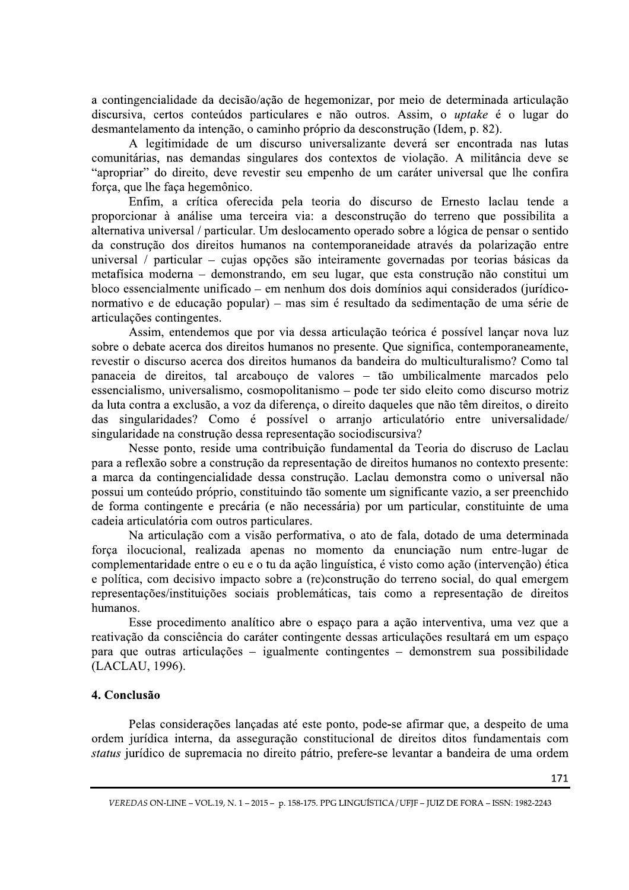a contingencialidade da decisão/ação de hegemonizar, por meio de determinada articulação discursiva, certos conteúdos particulares e não outros. Assim, o *uptake* é o lugar do desmantelamento da intenção, o caminho próprio da desconstrução (Idem, p. 82).

A legitimidade de um discurso universalizante deverá ser encontrada nas lutas comunitárias, nas demandas singulares dos contextos de violação. A militância deve se "apropriar" do direito, deve revestir seu empenho de um caráter universal que lhe confira força, que lhe faça hegemônico.

Enfim, a crítica oferecida pela teoria do discurso de Ernesto laclau tende a proporcionar à análise uma terceira via: a desconstrução do terreno que possibilita a alternativa universal / particular. Um deslocamento operado sobre a lógica de pensar o sentido da construção dos direitos humanos na contemporaneidade através da polarização entre universal / particular - cujas opções são inteiramente governadas por teorias básicas da metafísica moderna – demonstrando, em seu lugar, que esta construção não constitui um bloco essencialmente unificado – em nenhum dos dois domínios aqui considerados (jurídiconormativo e de educação popular) – mas sim é resultado da sedimentação de uma série de articulações contingentes.

Assim, entendemos que por via dessa articulação teórica é possível lançar nova luz sobre o debate acerca dos direitos humanos no presente. Que significa, contemporaneamente, revestir o discurso acerca dos direitos humanos da bandeira do multiculturalismo? Como tal panaceia de direitos, tal arcabouço de valores - tão umbilicalmente marcados pelo essencialismo, universalismo, cosmopolitanismo – pode ter sido eleito como discurso motriz da luta contra a exclusão, a voz da diferença, o direito daqueles que não têm direitos, o direito das singularidades? Como é possível o arranjo articulatório entre universalidade/ singularidade na construção dessa representação sociodiscursiva?

Nesse ponto, reside uma contribuição fundamental da Teoria do discruso de Laclau para a reflexão sobre a construção da representação de direitos humanos no contexto presente: a marca da contingencialidade dessa construção. Laclau demonstra como o universal não possui um conteúdo próprio, constituindo tão somente um significante vazio, a ser preenchido de forma contingente e precária (e não necessária) por um particular, constituinte de uma cadeia articulatória com outros particulares.

Na articulação com a visão performativa, o ato de fala, dotado de uma determinada força ilocucional, realizada apenas no momento da enunciação num entre-lugar de complementaridade entre o eu e o tu da ação linguística, é visto como ação (intervenção) ética e política, com decisivo impacto sobre a (re)construção do terreno social, do qual emergem representações/instituições sociais problemáticas, tais como a representação de direitos humanos.

Esse procedimento analítico abre o espaço para a ação interventiva, uma vez que a reativação da consciência do caráter contingente dessas articulações resultará em um espaço para que outras articulações – igualmente contingentes – demonstrem sua possibilidade (LACLAU, 1996).

#### 4. Conclusão

Pelas considerações lançadas até este ponto, pode-se afirmar que, a despeito de uma ordem jurídica interna, da asseguração constitucional de direitos ditos fundamentais com status jurídico de supremacia no direito pátrio, prefere-se levantar a bandeira de uma ordem

VEREDAS ON-LINE - VOL.19, N. 1 - 2015 - p. 158-175. PPG LINGUÍSTICA / UFJF - JUIZ DE FORA - ISSN: 1982-2243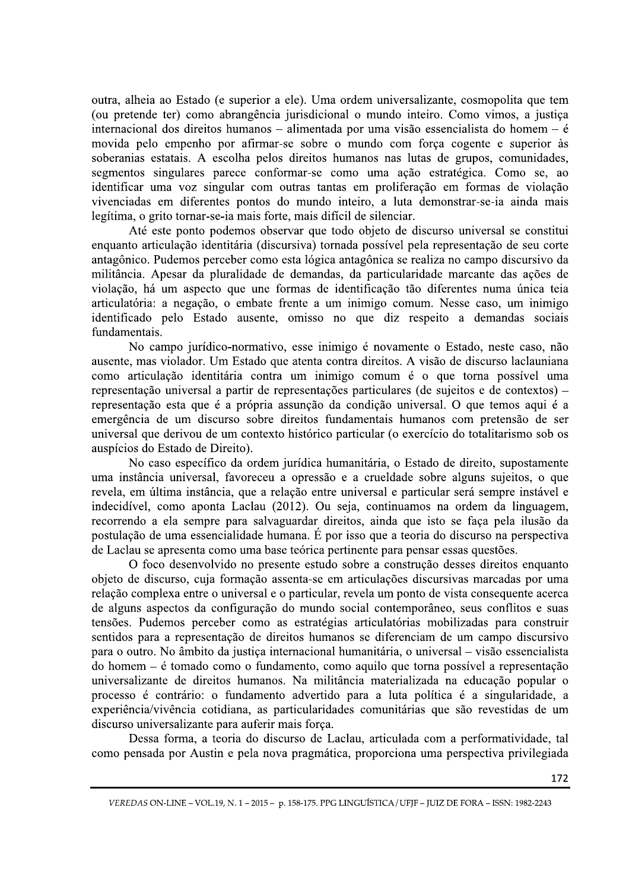outra, alheia ao Estado (e superior a ele). Uma ordem universalizante, cosmopolita que tem (ou pretende ter) como abrangência jurisdicional o mundo inteiro. Como vimos, a justiça internacional dos direitos humanos - alimentada por uma visão essencialista do homem - é movida pelo empenho por afirmar-se sobre o mundo com força cogente e superior às soberanias estatais. A escolha pelos direitos humanos nas lutas de grupos, comunidades, segmentos singulares parece conformar-se como uma ação estratégica. Como se, ao identificar uma voz singular com outras tantas em proliferação em formas de violação vivenciadas em diferentes pontos do mundo inteiro, a luta demonstrar-se-ia ainda mais legítima, o grito tornar-se-ia mais forte, mais difícil de silenciar.

Até este ponto podemos observar que todo objeto de discurso universal se constitui enquanto articulação identitária (discursiva) tornada possível pela representação de seu corte antagônico. Pudemos perceber como esta lógica antagônica se realiza no campo discursivo da militância. Apesar da pluralidade de demandas, da particularidade marcante das ações de violação, há um aspecto que une formas de identificação tão diferentes numa única teia articulatória: a negação, o embate frente a um inimigo comum. Nesse caso, um inimigo identificado pelo Estado ausente, omisso no que diz respeito a demandas sociais fundamentais.

No campo jurídico-normativo, esse inimigo é novamente o Estado, neste caso, não ausente, mas violador. Um Estado que atenta contra direitos. A visão de discurso laclauniana como articulação identitária contra um inimigo comum é o que torna possível uma representação universal a partir de representações particulares (de sujeitos e de contextos) – representação esta que é a própria assunção da condição universal. O que temos aqui é a emergência de um discurso sobre direitos fundamentais humanos com pretensão de ser universal que derivou de um contexto histórico particular (o exercício do totalitarismo sob os auspícios do Estado de Direito).

No caso específico da ordem jurídica humanitária, o Estado de direito, supostamente uma instância universal, favoreceu a opressão e a crueldade sobre alguns sujeitos, o que revela, em última instância, que a relação entre universal e particular será sempre instável e indecidível, como aponta Laclau (2012). Ou seja, continuamos na ordem da linguagem, recorrendo a ela sempre para salvaguardar direitos, ainda que isto se faça pela ilusão da postulação de uma essencialidade humana. É por isso que a teoria do discurso na perspectiva de Laclau se apresenta como uma base teórica pertinente para pensar essas questões.

O foco desenvolvido no presente estudo sobre a construção desses direitos enquanto objeto de discurso, cuja formação assenta-se em articulações discursivas marcadas por uma relação complexa entre o universal e o particular, revela um ponto de vista consequente acerca de alguns aspectos da configuração do mundo social contemporâneo, seus conflitos e suas tensões. Pudemos perceber como as estratégias articulatórias mobilizadas para construir sentidos para a representação de direitos humanos se diferenciam de um campo discursivo para o outro. No âmbito da justiça internacional humanitária, o universal – visão essencialista do homem – é tomado como o fundamento, como aquilo que torna possível a representação universalizante de direitos humanos. Na militância materializada na educação popular o processo é contrário: o fundamento advertido para a luta política é a singularidade, a experiência/vivência cotidiana, as particularidades comunitárias que são revestidas de um discurso universalizante para auferir mais forca.

Dessa forma, a teoria do discurso de Laclau, articulada com a performatividade, tal como pensada por Austin e pela nova pragmática, proporciona uma perspectiva privilegiada

VEREDAS ON-LINE - VOL.19, N. 1 - 2015 - p. 158-175. PPG LINGUÍSTICA / UFJF - JUIZ DE FORA - ISSN: 1982-2243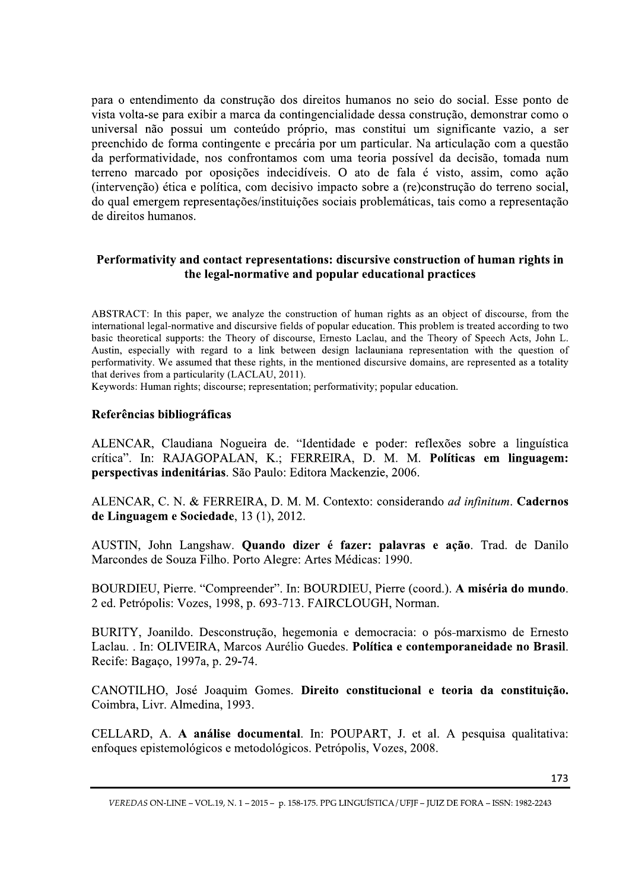para o entendimento da construção dos direitos humanos no seio do social. Esse ponto de vista volta-se para exibir a marca da contingencialidade dessa construção, demonstrar como o universal não possui um conteúdo próprio, mas constitui um significante vazio, a ser preenchido de forma contingente e precária por um particular. Na articulação com a questão da performatividade, nos confrontamos com uma teoria possível da decisão, tomada num terreno marcado por oposições indecidíveis. O ato de fala é visto, assim, como ação (intervenção) ética e política, com decisivo impacto sobre a (re)construção do terreno social, do qual emergem representações/instituições sociais problemáticas, tais como a representação de direitos humanos.

## Performativity and contact representations: discursive construction of human rights in the legal-normative and popular educational practices

ABSTRACT: In this paper, we analyze the construction of human rights as an object of discourse, from the international legal-normative and discursive fields of popular education. This problem is treated according to two basic theoretical supports: the Theory of discourse, Ernesto Laclau, and the Theory of Speech Acts, John L. Austin, especially with regard to a link between design laclauniana representation with the question of performativity. We assumed that these rights, in the mentioned discursive domains, are represented as a totality that derives from a particularity (LACLAU, 2011).

Keywords: Human rights; discourse; representation; performativity; popular education.

#### Referências bibliográficas

ALENCAR, Claudiana Nogueira de. "Identidade e poder: reflexões sobre a linguística crítica". In: RAJAGOPALAN, K.; FERREIRA, D. M. M. Políticas em linguagem: perspectivas indenitárias. São Paulo: Editora Mackenzie, 2006.

ALENCAR, C. N. & FERREIRA, D. M. M. Contexto: considerando *ad infinitum*. Cadernos de Linguagem e Sociedade, 13 (1), 2012.

AUSTIN, John Langshaw. Quando dizer é fazer: palavras e ação. Trad. de Danilo Marcondes de Souza Filho. Porto Alegre: Artes Médicas: 1990.

BOURDIEU, Pierre. "Compreender". In: BOURDIEU, Pierre (coord.). A miséria do mundo. 2 ed. Petrópolis: Vozes, 1998, p. 693-713. FAIRCLOUGH, Norman.

BURITY, Joanildo. Desconstrução, hegemonia e democracia: o pós-marxismo de Ernesto Laclau. . In: OLIVEIRA, Marcos Aurélio Guedes. Política e contemporaneidade no Brasil. Recife: Bagaço, 1997a, p. 29-74.

CANOTILHO, José Joaquim Gomes. Direito constitucional e teoria da constituição. Coimbra, Livr. Almedina, 1993.

CELLARD, A. A análise documental. In: POUPART, J. et al. A pesquisa qualitativa: enfoques epistemológicos e metodológicos. Petrópolis, Vozes, 2008.

VEREDAS ON-LINE - VOL.19, N. 1 - 2015 - p. 158-175. PPG LINGUÍSTICA / UFJF - JUIZ DE FORA - ISSN: 1982-2243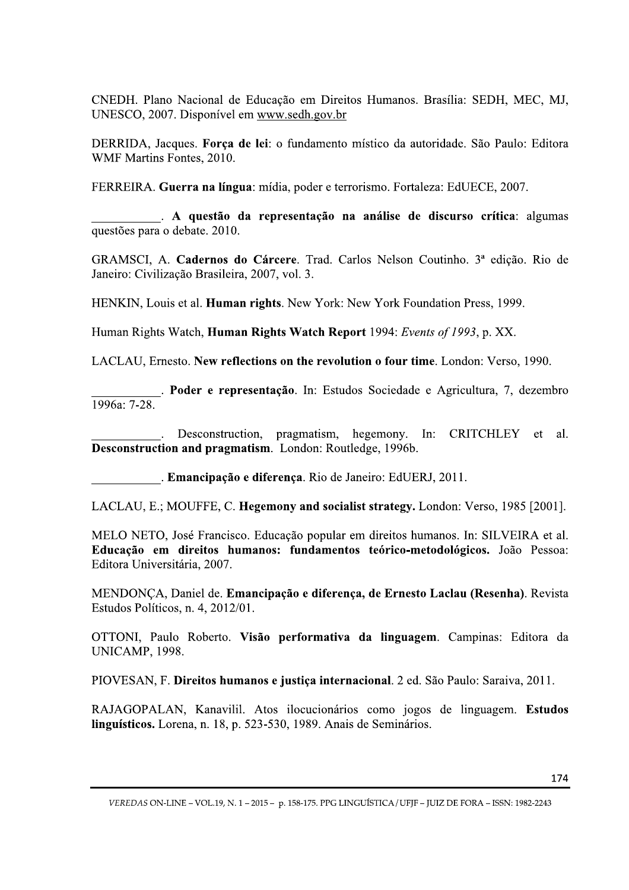CNEDH. Plano Nacional de Educação em Direitos Humanos. Brasília: SEDH, MEC, MJ, UNESCO, 2007. Disponível em www.sedh.gov.br

DERRIDA, Jacques. Força de lei: o fundamento místico da autoridade. São Paulo: Editora WMF Martins Fontes, 2010.

FERREIRA. Guerra na língua: mídia, poder e terrorismo. Fortaleza: EdUECE, 2007.

. A questão da representação na análise de discurso crítica: algumas questões para o debate. 2010.

GRAMSCI, A. Cadernos do Cárcere. Trad. Carlos Nelson Coutinho. 3ª edição. Rio de Janeiro: Civilização Brasileira, 2007, vol. 3.

HENKIN, Louis et al. **Human rights**. New York: New York Foundation Press, 1999.

Human Rights Watch, **Human Rights Watch Report** 1994: Events of 1993, p. XX.

LACLAU, Ernesto. New reflections on the revolution o four time. London: Verso, 1990.

. Poder e representação. In: Estudos Sociedade e Agricultura, 7, dezembro  $\overline{1996a: 7-28.}$ 

Desconstruction, pragmatism, hegemony. In: CRITCHLEY et  $a1$ . Desconstruction and pragmatism. London: Routledge, 1996b.

. Emancipação e diferença. Rio de Janeiro: EdUERJ, 2011.

LACLAU, E.; MOUFFE, C. Hegemony and socialist strategy. London: Verso, 1985 [2001].

MELO NETO, José Francisco. Educação popular em direitos humanos. In: SILVEIRA et al. Educação em direitos humanos: fundamentos teórico-metodológicos. João Pessoa: Editora Universitária, 2007.

MENDONÇA, Daniel de. Emancipação e diferença, de Ernesto Laclau (Resenha). Revista Estudos Políticos, n. 4, 2012/01.

OTTONI, Paulo Roberto. Visão performativa da linguagem. Campinas: Editora da **UNICAMP, 1998.** 

PIOVESAN, F. Direitos humanos e justiça internacional. 2 ed. São Paulo: Saraiva, 2011.

RAJAGOPALAN, Kanavilil. Atos ilocucionários como jogos de linguagem. Estudos linguísticos. Lorena, n. 18, p. 523-530, 1989. Anais de Seminários.

VEREDAS ON-LINE - VOL.19, N. 1 - 2015 - p. 158-175. PPG LINGUÍSTICA / UFJF - JUIZ DE FORA - ISSN: 1982-2243